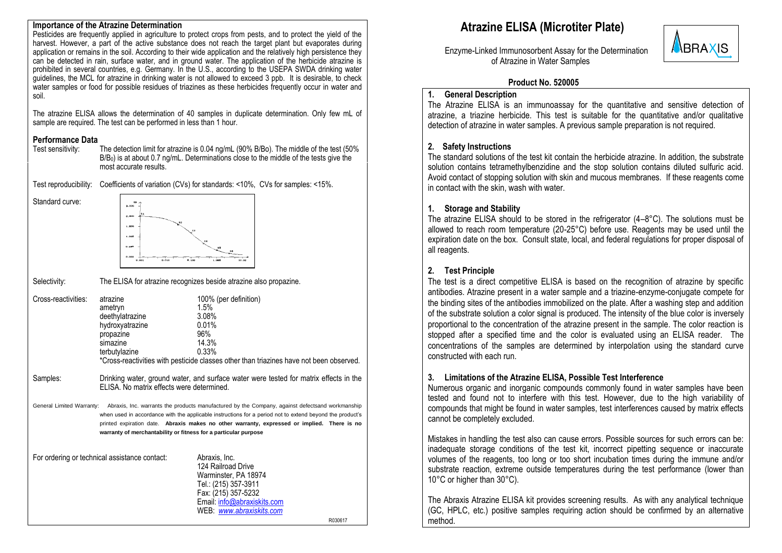#### **Importance of the Atrazine Determination**

Pesticides are frequently applied in agriculture to protect crops from pests, and to protect the yield of the harvest. However, a part of the active substance does not reach the target plant but evaporates during application or remains in the soil. According to their wide application and the relatively high persistence they can be detected in rain, surface water, and in ground water. The application of the herbicide atrazine is prohibited in several countries, e.g. Germany. In the U.S., according to the USEPA SWDA drinking water guidelines, the MCL for atrazine in drinking water is not allowed to exceed 3 ppb. It is desirable, to check water samples or food for possible residues of triazines as these herbicides frequently occur in water and soil.

The atrazine ELISA allows the determination of 40 samples in duplicate determination. Only few mL of sample are required. The test can be performed in less than 1 hour.

# **Performance Data**<br>Test sensitivity:

Standard curve:

The detection limit for atrazine is 0.04 ng/mL (90% B/Bo). The middle of the test (50% B/B<sub>0</sub>) is at about 0.7 ng/mL. Determinations close to the middle of the tests give the most accurate results.

Test reproducibility: Coefficients of variation (CVs) for standards: <10%, CVs for samples: <15%.



Selectivity: The ELISA for atrazine recognizes beside atrazine also propazine. Cross-reactivities: atrazine 100% (per definition)<br>ametryn 15% 1.5% ametryn 1.5%<br>deethvlatrazine 3.08% deethylatrazine 3.08%<br>hydroxyatrazine 0.01% hydroxyatrazine 0.01%<br>propazine 96% propazine 96%<br>simazine 14.3% simazine 14.3%<br>terbutylazine 0.33% terbutylazine \*Cross-reactivities with pesticide classes other than triazines have not been observed. Samples: Drinking water, ground water, and surface water were tested for matrix effects in the ELISA. No matrix effects were determined. General Limited Warranty: Abraxis, Inc. warrants the products manufactured by the Company, against defectsand workmanship when used in accordance with the applicable instructions for a period not to extend beyond the product's printed expiration date. **Abraxis makes no other warranty, expressed or implied. There is no warranty of merchantability or fitness for a particular purpose** For ordering or technical assistance contact: Abraxis, Inc. 124 Railroad Drive Warminster, PA 18974 Tel.: (215) 357-3911 Fax: (215) 357-5232

> Email: [info@abraxiskits.com](mailto:info@abraxiskits.com) WEB: *[www.abraxiskits.com](http://www.abraxiskits.com/)*

R030617

# **Atrazine ELISA (Microtiter Plate)**



 Enzyme-Linked Immunosorbent Assay for the Determination of Atrazine in Water Samples

### **Product No. 520005**

### **1. General Description**

The Atrazine ELISA is an immunoassay for the quantitative and sensitive detection of atrazine, a triazine herbicide. This test is suitable for the quantitative and/or qualitative detection of atrazine in water samples. A previous sample preparation is not required.

## **2. Safety Instructions**

The standard solutions of the test kit contain the herbicide atrazine. In addition, the substrate solution contains tetramethylbenzidine and the stop solution contains diluted sulfuric acid. Avoid contact of stopping solution with skin and mucous membranes. If these reagents come in contact with the skin, wash with water.

# **1. Storage and Stability**

The atrazine ELISA should to be stored in the refrigerator (4–8°C). The solutions must be allowed to reach room temperature (20-25°C) before use. Reagents may be used until the expiration date on the box. Consult state, local, and federal regulations for proper disposal of all reagents.

# **2. Test Principle**

The test is a direct competitive ELISA is based on the recognition of atrazine by specific antibodies. Atrazine present in a water sample and a triazine-enzyme-conjugate compete for the binding sites of the antibodies immobilized on the plate. After a washing step and addition of the substrate solution a color signal is produced. The intensity of the blue color is inversely proportional to the concentration of the atrazine present in the sample. The color reaction is stopped after a specified time and the color is evaluated using an ELISA reader. The concentrations of the samples are determined by interpolation using the standard curve constructed with each run.

# **3. Limitations of the Atrazine ELISA, Possible Test Interference**

Numerous organic and inorganic compounds commonly found in water samples have been tested and found not to interfere with this test. However, due to the high variability of compounds that might be found in water samples, test interferences caused by matrix effects cannot be completely excluded.

Mistakes in handling the test also can cause errors. Possible sources for such errors can be: inadequate storage conditions of the test kit, incorrect pipetting sequence or inaccurate volumes of the reagents, too long or too short incubation times during the immune and/or substrate reaction, extreme outside temperatures during the test performance (lower than 10°C or higher than 30°C).

The Abraxis Atrazine ELISA kit provides screening results. As with any analytical technique (GC, HPLC, etc.) positive samples requiring action should be confirmed by an alternative method.